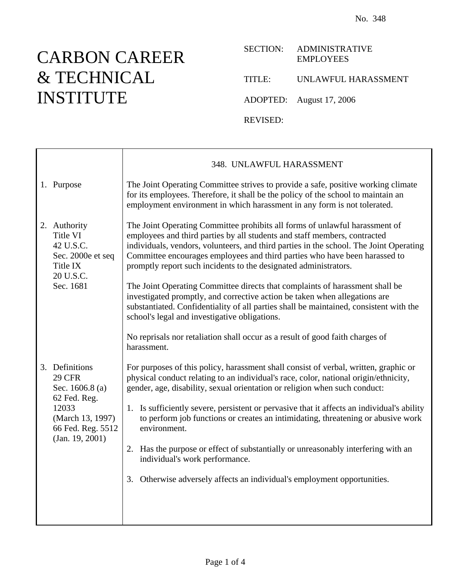## CARBON CAREER & TECHNICAL INSTITUTE

Ē

## SECTION: ADMINISTRATIVE EMPLOYEES

TITLE: UNLAWFUL HARASSMENT

ADOPTED: August 17, 2006

REVISED:

|                                                                                                                                         | 348. UNLAWFUL HARASSMENT                                                                                                                                                                                                                                                                                                                                                                                                                                                                                                                                                                                                                                                                                                                                                                       |
|-----------------------------------------------------------------------------------------------------------------------------------------|------------------------------------------------------------------------------------------------------------------------------------------------------------------------------------------------------------------------------------------------------------------------------------------------------------------------------------------------------------------------------------------------------------------------------------------------------------------------------------------------------------------------------------------------------------------------------------------------------------------------------------------------------------------------------------------------------------------------------------------------------------------------------------------------|
| 1. Purpose                                                                                                                              | The Joint Operating Committee strives to provide a safe, positive working climate<br>for its employees. Therefore, it shall be the policy of the school to maintain an<br>employment environment in which harassment in any form is not tolerated.                                                                                                                                                                                                                                                                                                                                                                                                                                                                                                                                             |
| 2. Authority<br>Title VI<br>42 U.S.C.<br>Sec. 2000e et seq<br>Title IX<br>20 U.S.C.<br>Sec. 1681                                        | The Joint Operating Committee prohibits all forms of unlawful harassment of<br>employees and third parties by all students and staff members, contracted<br>individuals, vendors, volunteers, and third parties in the school. The Joint Operating<br>Committee encourages employees and third parties who have been harassed to<br>promptly report such incidents to the designated administrators.<br>The Joint Operating Committee directs that complaints of harassment shall be<br>investigated promptly, and corrective action be taken when allegations are<br>substantiated. Confidentiality of all parties shall be maintained, consistent with the<br>school's legal and investigative obligations.<br>No reprisals nor retaliation shall occur as a result of good faith charges of |
|                                                                                                                                         | harassment.                                                                                                                                                                                                                                                                                                                                                                                                                                                                                                                                                                                                                                                                                                                                                                                    |
| 3. Definitions<br><b>29 CFR</b><br>Sec. 1606.8 (a)<br>62 Fed. Reg.<br>12033<br>(March 13, 1997)<br>66 Fed. Reg. 5512<br>(Jan. 19, 2001) | For purposes of this policy, harassment shall consist of verbal, written, graphic or<br>physical conduct relating to an individual's race, color, national origin/ethnicity,<br>gender, age, disability, sexual orientation or religion when such conduct:                                                                                                                                                                                                                                                                                                                                                                                                                                                                                                                                     |
|                                                                                                                                         | 1. Is sufficiently severe, persistent or pervasive that it affects an individual's ability<br>to perform job functions or creates an intimidating, threatening or abusive work<br>environment.                                                                                                                                                                                                                                                                                                                                                                                                                                                                                                                                                                                                 |
|                                                                                                                                         | 2. Has the purpose or effect of substantially or unreasonably interfering with an<br>individual's work performance.                                                                                                                                                                                                                                                                                                                                                                                                                                                                                                                                                                                                                                                                            |
|                                                                                                                                         | 3. Otherwise adversely affects an individual's employment opportunities.                                                                                                                                                                                                                                                                                                                                                                                                                                                                                                                                                                                                                                                                                                                       |
|                                                                                                                                         |                                                                                                                                                                                                                                                                                                                                                                                                                                                                                                                                                                                                                                                                                                                                                                                                |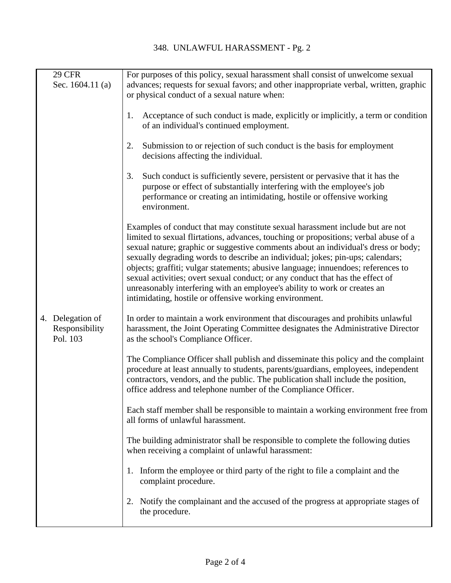| <b>29 CFR</b>                                  | For purposes of this policy, sexual harassment shall consist of unwelcome sexual                                                                                                                                                                                                                                                                                                                                                                                                                                                                                                                                                                             |
|------------------------------------------------|--------------------------------------------------------------------------------------------------------------------------------------------------------------------------------------------------------------------------------------------------------------------------------------------------------------------------------------------------------------------------------------------------------------------------------------------------------------------------------------------------------------------------------------------------------------------------------------------------------------------------------------------------------------|
| Sec. 1604.11 (a)                               | advances; requests for sexual favors; and other inappropriate verbal, written, graphic                                                                                                                                                                                                                                                                                                                                                                                                                                                                                                                                                                       |
|                                                | or physical conduct of a sexual nature when:                                                                                                                                                                                                                                                                                                                                                                                                                                                                                                                                                                                                                 |
|                                                | Acceptance of such conduct is made, explicitly or implicitly, a term or condition<br>1.<br>of an individual's continued employment.                                                                                                                                                                                                                                                                                                                                                                                                                                                                                                                          |
|                                                | Submission to or rejection of such conduct is the basis for employment<br>2.<br>decisions affecting the individual.                                                                                                                                                                                                                                                                                                                                                                                                                                                                                                                                          |
|                                                | Such conduct is sufficiently severe, persistent or pervasive that it has the<br>3.<br>purpose or effect of substantially interfering with the employee's job<br>performance or creating an intimidating, hostile or offensive working<br>environment.                                                                                                                                                                                                                                                                                                                                                                                                        |
|                                                | Examples of conduct that may constitute sexual harassment include but are not<br>limited to sexual flirtations, advances, touching or propositions; verbal abuse of a<br>sexual nature; graphic or suggestive comments about an individual's dress or body;<br>sexually degrading words to describe an individual; jokes; pin-ups; calendars;<br>objects; graffiti; vulgar statements; abusive language; innuendoes; references to<br>sexual activities; overt sexual conduct; or any conduct that has the effect of<br>unreasonably interfering with an employee's ability to work or creates an<br>intimidating, hostile or offensive working environment. |
| 4. Delegation of<br>Responsibility<br>Pol. 103 | In order to maintain a work environment that discourages and prohibits unlawful<br>harassment, the Joint Operating Committee designates the Administrative Director<br>as the school's Compliance Officer.                                                                                                                                                                                                                                                                                                                                                                                                                                                   |
|                                                | The Compliance Officer shall publish and disseminate this policy and the complaint<br>procedure at least annually to students, parents/guardians, employees, independent<br>contractors, vendors, and the public. The publication shall include the position,<br>office address and telephone number of the Compliance Officer.                                                                                                                                                                                                                                                                                                                              |
|                                                | Each staff member shall be responsible to maintain a working environment free from<br>all forms of unlawful harassment.                                                                                                                                                                                                                                                                                                                                                                                                                                                                                                                                      |
|                                                | The building administrator shall be responsible to complete the following duties<br>when receiving a complaint of unlawful harassment:                                                                                                                                                                                                                                                                                                                                                                                                                                                                                                                       |
|                                                | 1. Inform the employee or third party of the right to file a complaint and the<br>complaint procedure.                                                                                                                                                                                                                                                                                                                                                                                                                                                                                                                                                       |
|                                                | Notify the complainant and the accused of the progress at appropriate stages of<br>2.<br>the procedure.                                                                                                                                                                                                                                                                                                                                                                                                                                                                                                                                                      |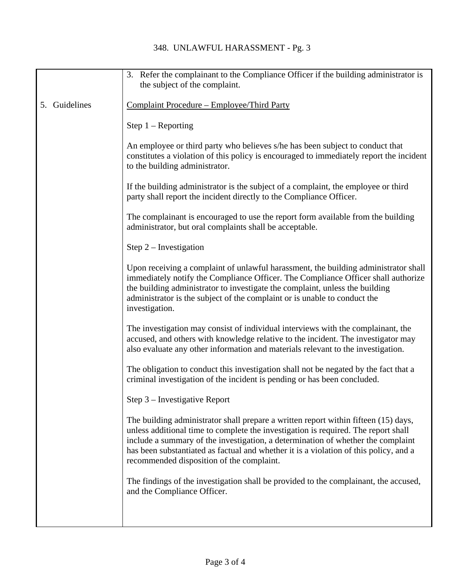|               | 3. Refer the complainant to the Compliance Officer if the building administrator is                                                                                                                                                                                                                                                                                                                 |
|---------------|-----------------------------------------------------------------------------------------------------------------------------------------------------------------------------------------------------------------------------------------------------------------------------------------------------------------------------------------------------------------------------------------------------|
|               | the subject of the complaint.                                                                                                                                                                                                                                                                                                                                                                       |
| 5. Guidelines | Complaint Procedure – Employee/Third Party                                                                                                                                                                                                                                                                                                                                                          |
|               | Step $1 -$ Reporting                                                                                                                                                                                                                                                                                                                                                                                |
|               | An employee or third party who believes s/he has been subject to conduct that<br>constitutes a violation of this policy is encouraged to immediately report the incident<br>to the building administrator.                                                                                                                                                                                          |
|               | If the building administrator is the subject of a complaint, the employee or third<br>party shall report the incident directly to the Compliance Officer.                                                                                                                                                                                                                                           |
|               | The complainant is encouraged to use the report form available from the building<br>administrator, but oral complaints shall be acceptable.                                                                                                                                                                                                                                                         |
|               | Step $2$ – Investigation                                                                                                                                                                                                                                                                                                                                                                            |
|               | Upon receiving a complaint of unlawful harassment, the building administrator shall<br>immediately notify the Compliance Officer. The Compliance Officer shall authorize<br>the building administrator to investigate the complaint, unless the building<br>administrator is the subject of the complaint or is unable to conduct the<br>investigation.                                             |
|               | The investigation may consist of individual interviews with the complainant, the<br>accused, and others with knowledge relative to the incident. The investigator may<br>also evaluate any other information and materials relevant to the investigation.                                                                                                                                           |
|               | The obligation to conduct this investigation shall not be negated by the fact that a<br>criminal investigation of the incident is pending or has been concluded.                                                                                                                                                                                                                                    |
|               | Step 3 – Investigative Report                                                                                                                                                                                                                                                                                                                                                                       |
|               | The building administrator shall prepare a written report within fifteen (15) days,<br>unless additional time to complete the investigation is required. The report shall<br>include a summary of the investigation, a determination of whether the complaint<br>has been substantiated as factual and whether it is a violation of this policy, and a<br>recommended disposition of the complaint. |
|               | The findings of the investigation shall be provided to the complainant, the accused,<br>and the Compliance Officer.                                                                                                                                                                                                                                                                                 |
|               |                                                                                                                                                                                                                                                                                                                                                                                                     |